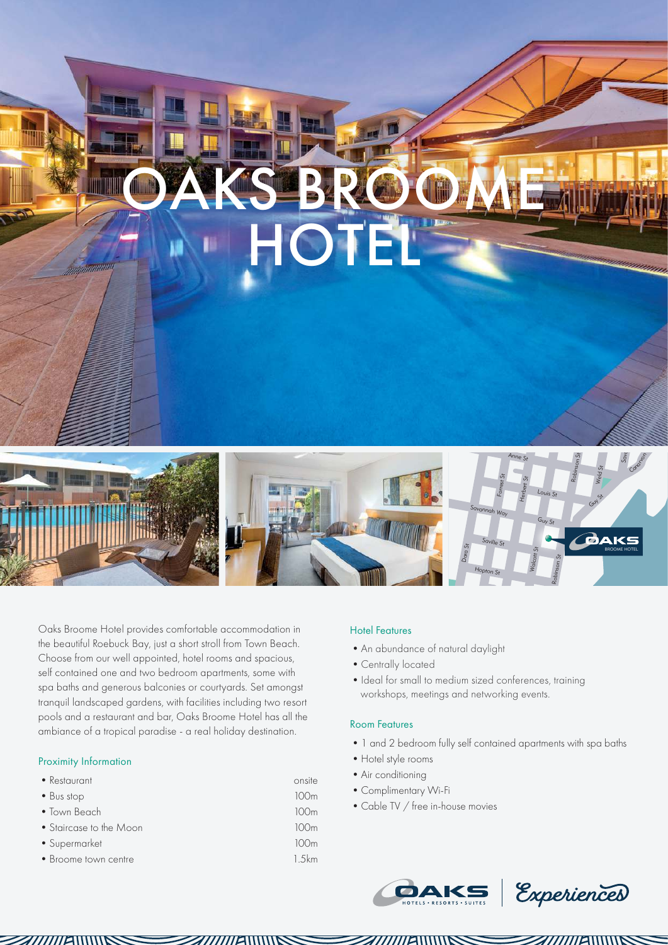# OAKS BROOME **HOTEL**





Oaks Broome Hotel provides comfortable accommodation in the beautiful Roebuck Bay, just a short stroll from Town Beach. Choose from our well appointed, hotel rooms and spacious, self contained one and two bedroom apartments, some with spa baths and generous balconies or courtyards. Set amongst tranquil landscaped gardens, with facilities including two resort pools and a restaurant and bar, Oaks Broome Hotel has all the ambiance of a tropical paradise - a real holiday destination.

### Proximity Information

| • Restaurant            | onsite |
|-------------------------|--------|
| • Bus stop              | 100m   |
| • Town Beach            | 100m   |
| • Staircase to the Moon | 100m   |
| • Supermarket           | 100m   |
| • Broome town centre    | 1.5km  |
|                         |        |

### Hotel Features

- •An abundance of natural daylight
- Centrally located
- Ideal for small to medium sized conferences, training workshops, meetings and networking events.

## Room Features

•1 and 2 bedroom fully self contained apartments with spa baths

Savannah Way

Forrest St

Louis<sub>St</sub>

Guy St

Robinson St

Anne St

Herbert St

Walcott St

Saville St

Hopton St

Dora St

- Hotel style rooms
- Air conditioning
- •Complimentary Wi-Fi
- Cable TV / free in-house movies





Sava Wall

BROOME HOTEL

Canaryon

Weld St

Guy St

Robinson St